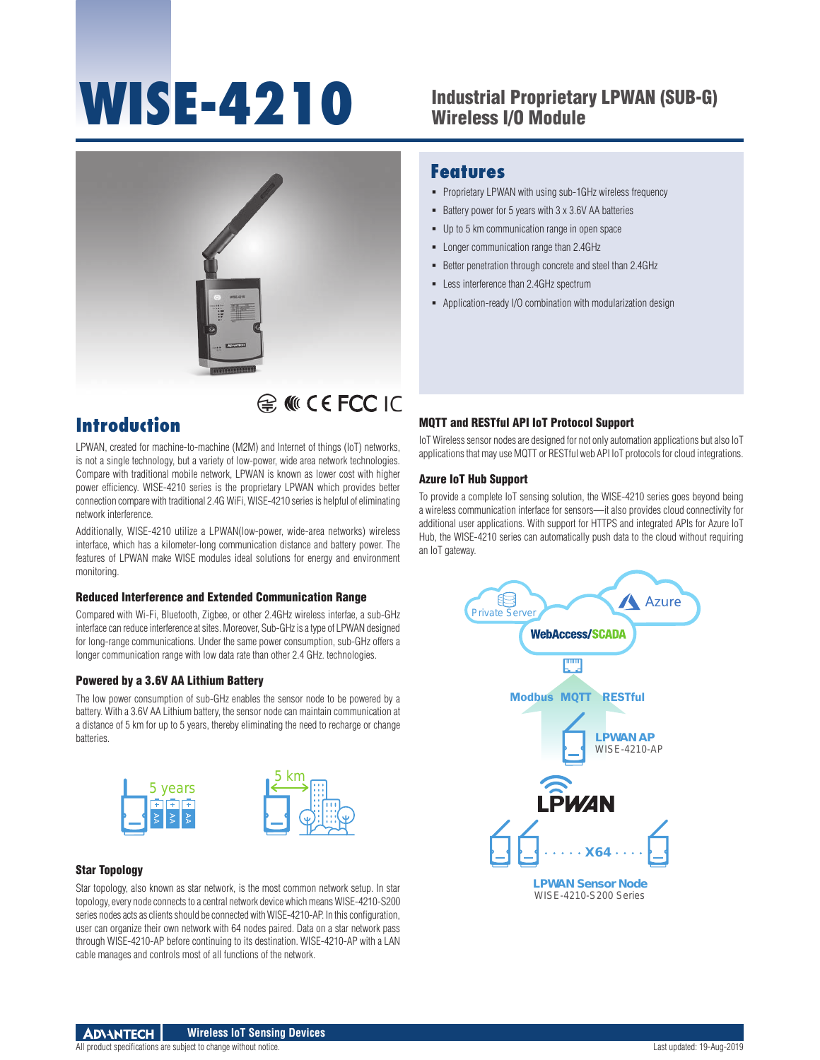# WISE-4210 Industrial Proprietary LPWAN (SUB-G)

## Wireless I/O Module



## E MICE FCC IC

## **Introduction**

LPWAN, created for machine-to-machine (M2M) and Internet of things (IoT) networks, is not a single technology, but a variety of low-power, wide area network technologies. Compare with traditional mobile network, LPWAN is known as lower cost with higher power efficiency. WISE-4210 series is the proprietary LPWAN which provides better connection compare with traditional 2.4G WiFi, WISE-4210 series is helpful of eliminating network interference.

Additionally, WISE-4210 utilize a LPWAN(low-power, wide-area networks) wireless interface, which has a kilometer-long communication distance and battery power. The features of LPWAN make WISE modules ideal solutions for energy and environment monitoring.

#### Reduced Interference and Extended Communication Range

Compared with Wi-Fi, Bluetooth, Zigbee, or other 2.4GHz wireless interfae, a sub-GHz interface can reduce interference at sites. Moreover, Sub-GHz is a type of LPWAN designed for long-range communications. Under the same power consumption, sub-GHz offers a longer communication range with low data rate than other 2.4 GHz. technologies.

#### Powered by a 3.6V AA Lithium Battery

The low power consumption of sub-GHz enables the sensor node to be powered by a battery. With a 3.6V AA Lithium battery, the sensor node can maintain communication at a distance of 5 km for up to 5 years, thereby eliminating the need to recharge or change batteries.



#### Star Topology

Star topology, also known as star network, is the most common network setup. In star topology, every node connects to a central network device which means WISE-4210-S200 series nodes acts as clients should be connected with WISE-4210-AP. In this configuration, user can organize their own network with 64 nodes paired. Data on a star network pass through WISE-4210-AP before continuing to its destination. WISE-4210-AP with a LAN cable manages and controls most of all functions of the network.

#### **Features**

- **Proprietary LPWAN with using sub-1GHz wireless frequency**
- Battery power for 5 years with 3 x 3.6V AA batteries
- Up to 5 km communication range in open space
- **-** Longer communication range than 2.4GHz
- Better penetration through concrete and steel than 2.4GHz
- **-** Less interference than 2.4GHz spectrum
- Application-ready I/O combination with modularization design

#### MQTT and RESTful API IoT Protocol Support

IoT Wireless sensor nodes are designed for not only automation applications but also IoT applications that may use MQTT or RESTful web API IoT protocols for cloud integrations.

#### Azure IoT Hub Support

To provide a complete IoT sensing solution, the WISE-4210 series goes beyond being a wireless communication interface for sensors—it also provides cloud connectivity for additional user applications. With support for HTTPS and integrated APIs for Azure IoT Hub, the WISE-4210 series can automatically push data to the cloud without requiring an IoT gateway.